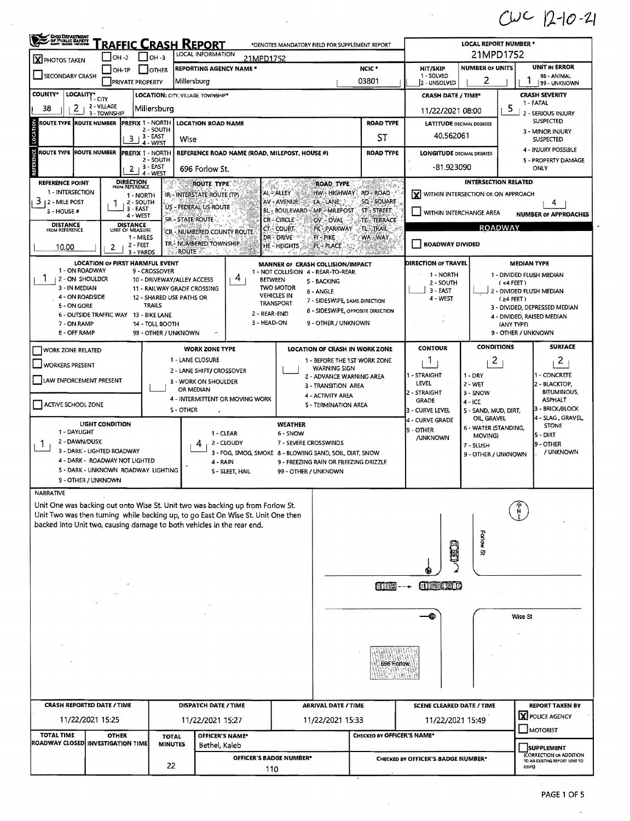$CUC$  12-10-21

| <b>CHO DEPARTMENT</b><br>COMPUBLIC BATELY<br>RAFFIC CRASH REPORT<br>*DENOTES MANDATORY FIELD FOR SUPPLEMENT REPORT<br>LOCAL INFORMATION |                                        |                                                                |                                                                                                                                                                    |                                                                        |                                                                    |                                                                                                                                                                                                                                                                                                                                                     |                                                        | <b>LOCAL REPORT NUMBER *</b>           |                                      |                                                          |  |  |  |
|-----------------------------------------------------------------------------------------------------------------------------------------|----------------------------------------|----------------------------------------------------------------|--------------------------------------------------------------------------------------------------------------------------------------------------------------------|------------------------------------------------------------------------|--------------------------------------------------------------------|-----------------------------------------------------------------------------------------------------------------------------------------------------------------------------------------------------------------------------------------------------------------------------------------------------------------------------------------------------|--------------------------------------------------------|----------------------------------------|--------------------------------------|----------------------------------------------------------|--|--|--|
| $IOH -2$<br>$ OH - 3 $<br>21MPD1752<br>X PHOTOS TAKEN                                                                                   |                                        |                                                                |                                                                                                                                                                    |                                                                        |                                                                    |                                                                                                                                                                                                                                                                                                                                                     |                                                        |                                        |                                      | 21MPD1752<br><b>UNIT IN ERROR</b>                        |  |  |  |
| <b>REPORTING AGENCY NAME *</b><br>OH-1P<br><b>JOTHER</b><br>SECONDARY CRASH<br>Millersburo<br><b>PRIVATE PROPERTY</b>                   |                                        |                                                                |                                                                                                                                                                    |                                                                        |                                                                    | NCIC <sup>.</sup><br>03801                                                                                                                                                                                                                                                                                                                          | <b>HIT/SKIP</b><br>1 - SOLVED<br>2 - UNSOLVED          | <b>NUMBER OF UNITS</b><br>2            |                                      | 98 - ANIMAL<br>99 - UNKNOWN                              |  |  |  |
| <b>COUNTY*</b><br>LOCALITY* CITY                                                                                                        |                                        | <b>LOCATION: CITY. VILLAGE TOWNSHIP*</b>                       |                                                                                                                                                                    |                                                                        |                                                                    |                                                                                                                                                                                                                                                                                                                                                     | <b>CRASH DATE / TIME*</b>                              |                                        |                                      | <b>CRASH SEVERITY</b>                                    |  |  |  |
| 2<br>38                                                                                                                                 | 2 - VILLAGE                            | Millersburg                                                    |                                                                                                                                                                    |                                                                        | 1 FATAL<br>5<br>11/22/2021 08:00                                   |                                                                                                                                                                                                                                                                                                                                                     |                                                        |                                        |                                      |                                                          |  |  |  |
| <b>ROUTE TYPE</b>                                                                                                                       | 3 - TOWNSHIP<br><b>ROUTE NUMBER</b>    | <b>PREFIX 1 - NORTH</b>                                        | <b>LOCATION ROAD NAME</b>                                                                                                                                          |                                                                        |                                                                    | <b>ROAD TYPE</b>                                                                                                                                                                                                                                                                                                                                    | <b>LATITUDE DECIMAL DEGREES</b>                        | 2 - SERIOUS INJURY<br><b>SUSPECTED</b> |                                      |                                                          |  |  |  |
|                                                                                                                                         | 3.                                     | 2 - SOUTH<br><sub>1</sub> 3 - EAST<br>Wise<br>4 - WEST         |                                                                                                                                                                    | ST                                                                     | 40.562061                                                          | 3 - MINOR INJURY<br><b>SUSPECTED</b>                                                                                                                                                                                                                                                                                                                |                                                        |                                        |                                      |                                                          |  |  |  |
| <b>ROUTE TYPE IROUTE NUMBER</b>                                                                                                         | 2                                      | <b>PREFIX 1 - NORTH</b><br>2 - SOUTH<br>, 3 - EAST<br>4 - WEST | REFERENCE ROAD NAME (ROAD, MILEPOST, HOUSE #)<br>696 Forlow St.                                                                                                    | <b>LONGITUDE DECIMAL DEGREES</b><br>-81.923090                         |                                                                    |                                                                                                                                                                                                                                                                                                                                                     | 4 - INJURY POSSIBLE<br>5 - PROPERTY DAMAGE<br>ONLY     |                                        |                                      |                                                          |  |  |  |
| <b>REFERENCE POINT</b>                                                                                                                  | <b>DIRECTION</b><br>FROM REFERENCE     |                                                                | <b>ROUTE TYPE</b>                                                                                                                                                  | ROAD TYPE                                                              |                                                                    |                                                                                                                                                                                                                                                                                                                                                     | <b>INTERSECTION RELATED</b>                            |                                        |                                      |                                                          |  |  |  |
| 1 - INTERSECTION<br>з<br><b>12 - MILE POST</b><br>$3 - HOUSE #$                                                                         | 1 - NORTH<br>2 - SOUTH<br>3 - EAST     | HW HIGHWAY<br>LA - LANE :<br><b>MP-MILEPOST</b>                | RD - ROAD<br>SQ - SQUARE<br>ST-STREET                                                                                                                              | X WITHIN INTERSECTION OR ON APPROACH<br>4                              |                                                                    |                                                                                                                                                                                                                                                                                                                                                     |                                                        |                                        |                                      |                                                          |  |  |  |
| <b>DISTANCE</b>                                                                                                                         | 4 - WEST<br><b>DISTANCE</b>            | SR - STATE ROUTE                                               |                                                                                                                                                                    | <b>BL-BOULEVARD</b><br>CR-CIRCLE                                       | OV – OVAL                                                          | TE - TERRACE                                                                                                                                                                                                                                                                                                                                        | WITHIN INTERCHANGE AREA<br><b>NUMBER OF APPROACHES</b> |                                        |                                      |                                                          |  |  |  |
| <b>FROM REFERENCE</b>                                                                                                                   | UNIT OF MEASURE<br>1 MILES             |                                                                | CR - NUMBERED COUNTY ROUTE                                                                                                                                         | CT - COURT<br>dr Drive                                                 | PK - PARKWAY<br>PI - PIKE                                          | TL-TRAIL<br>WA-WAY,                                                                                                                                                                                                                                                                                                                                 | <b>ROADWAY</b>                                         |                                        |                                      |                                                          |  |  |  |
| 10.00                                                                                                                                   | 2 - FEET<br>2<br>3 - YARDS             |                                                                | TR - NUMBERED TOWNSHIP.<br><b>ROUTE # 2.5</b><br>$-\frac{\rho_{\rm c}}{4}$<br>-16.4                                                                                | HE - HEIGHTS                                                           | PL-PLACE                                                           |                                                                                                                                                                                                                                                                                                                                                     | <b>ROADWAY DIVIDED</b>                                 |                                        |                                      |                                                          |  |  |  |
| 1 - ON ROADWAY                                                                                                                          | LOCATION OF FIRST HARMFUL EVENT        | 9 - CROSSOVER                                                  |                                                                                                                                                                    | MANNER OF CRASH COLLISION/IMPACT<br>1 - NOT COLLISION 4 - REAR-TO-REAR |                                                                    |                                                                                                                                                                                                                                                                                                                                                     | DIRECTION OF TRAVEL                                    |                                        |                                      | <b>MEDIAN TYPE</b>                                       |  |  |  |
| Ŧ<br>2 - ON SHOULDER                                                                                                                    |                                        | 10 - DRIVEWAY/ALLEY ACCESS                                     | 4<br><b>BETWEEN</b>                                                                                                                                                |                                                                        | 5 - BACKING                                                        |                                                                                                                                                                                                                                                                                                                                                     | 1 - NORTH<br>2 - SOUTH                                 |                                        | $(4$ FEET)                           | 1 - DIVIDED FLUSH MEDIAN                                 |  |  |  |
| 3 - IN MEDIAN<br>4 - ON ROADSIDE                                                                                                        |                                        | 11 - RAILWAY GRADE CROSSING<br>12 - SHARED USE PATHS OR        |                                                                                                                                                                    | <b>TWO MOTOR</b><br><b>VEHICLES IN</b>                                 | 6 - ANGLE                                                          |                                                                                                                                                                                                                                                                                                                                                     | $3 - EAST$<br>$4 - WEST$                               |                                        |                                      | 2 - DIVIDED FLUSH MEDIAN                                 |  |  |  |
| 5 - ON GORE                                                                                                                             |                                        | <b>TRAILS</b>                                                  |                                                                                                                                                                    | <b>TRANSPORT</b>                                                       | 7 - SIDESWIPE, SAME DIRECTION<br>8 - SIDESWIPE, OPPOSITE DIRECTION |                                                                                                                                                                                                                                                                                                                                                     |                                                        |                                        | $(24$ FEET)                          | 3 - DIVIDED, DEPRESSED MEDIAN                            |  |  |  |
| 7 - ON RAMP                                                                                                                             | 6 - OUTSIDE TRAFFIC WAY 13 - BIKE LANE | 14 - TOLL BOOTH                                                | 2 - REAR-END<br>3 - HEAD-ON                                                                                                                                        |                                                                        | 9 - OTHER / UNKNOWN                                                |                                                                                                                                                                                                                                                                                                                                                     |                                                        |                                        |                                      | 4 - DIVIDED, RAISED MEDIAN                               |  |  |  |
| 8 - OFF RAMP                                                                                                                            |                                        | 99 - OTHER / UNKNOWN                                           |                                                                                                                                                                    |                                                                        |                                                                    |                                                                                                                                                                                                                                                                                                                                                     | (ANY TYPE)<br>9 - OTHER / UNKNOWN                      |                                        |                                      |                                                          |  |  |  |
| <b>WORK ZONE RELATED</b>                                                                                                                |                                        |                                                                | <b>WORK ZONE TYPE</b>                                                                                                                                              |                                                                        | LOCATION OF CRASH IN WORK ZONE                                     |                                                                                                                                                                                                                                                                                                                                                     | <b>CONTOUR</b>                                         | <b>CONDITIONS</b>                      |                                      | <b>SURFACE</b>                                           |  |  |  |
| <b>1 - LANE CLOSURE</b>                                                                                                                 |                                        |                                                                |                                                                                                                                                                    |                                                                        |                                                                    | 1 - BEFORE THE 1ST WORK ZONE                                                                                                                                                                                                                                                                                                                        | -1                                                     | $\mathbf{2}^{\prime}$                  | $\overline{c}$                       |                                                          |  |  |  |
| <b>WORKERS PRESENT</b>                                                                                                                  |                                        | <b>WARNING SIGN</b><br>2 - ADVANCE WARNING AREA                |                                                                                                                                                                    | - STRAIGHT                                                             | 1 - DRY                                                            |                                                                                                                                                                                                                                                                                                                                                     | 1 - CONCRETE                                           |                                        |                                      |                                                          |  |  |  |
| LAW ENFORCEMENT PRESENT                                                                                                                 |                                        |                                                                | 3 - WORK ON SHOULDER<br>OR MEDIAN                                                                                                                                  | LEVEL<br>2 - STRAIGHT                                                  | $2 - WET$<br>3 - SNOW                                              |                                                                                                                                                                                                                                                                                                                                                     | 2 - BLACKTOP                                           |                                        |                                      |                                                          |  |  |  |
|                                                                                                                                         |                                        | 4 - INTERMITTENT OR MOVING WORK                                | 4 - ACTIVITY AREA                                                                                                                                                  |                                                                        |                                                                    |                                                                                                                                                                                                                                                                                                                                                     |                                                        |                                        | <b>BITUMINOUS,</b><br><b>ASPHALT</b> |                                                          |  |  |  |
| ACTIVE SCHOOL ZONE                                                                                                                      |                                        | 5 - OTHER                                                      |                                                                                                                                                                    |                                                                        | 5 - TERMINATION AREA                                               |                                                                                                                                                                                                                                                                                                                                                     | <b>GRADE</b><br>3 - CURVE LEVEL                        | 4 - ICE<br>5 - SAND, MUD, DIRT,        |                                      | 3 - BRICK/BLOCK                                          |  |  |  |
|                                                                                                                                         | <b>LIGHT CONDITION</b>                 |                                                                |                                                                                                                                                                    | <b>WEATHER</b>                                                         |                                                                    |                                                                                                                                                                                                                                                                                                                                                     | 4 - CURVE GRADE                                        | OIL, GRAVEL<br>6 - WATER (STANDING,    |                                      | 4 - SLAG, GRAVEL<br><b>STONE</b>                         |  |  |  |
| 1 - DAYLIGHT                                                                                                                            |                                        |                                                                | 1 - CLEAR                                                                                                                                                          | 6 - SNOW                                                               | 9 - OTHER<br>MOVING)<br>/UNKNOWN                                   |                                                                                                                                                                                                                                                                                                                                                     |                                                        |                                        |                                      | 5 - DIRT                                                 |  |  |  |
| 2 - DAWN/DUSK<br>Т.                                                                                                                     | 3 - DARK - LIGHTED ROADWAY             |                                                                | 2 - CLOUDY<br>3 - FOG, SMOG, SMOKE 8 - BLOWING SAND, SOIL, DIRT, SNOW                                                                                              | 7 - SEVERE CROSSWINDS                                                  |                                                                    |                                                                                                                                                                                                                                                                                                                                                     |                                                        | $7 -$ SLUSH                            |                                      | 9 - OTHER<br>/ UNKNOWN                                   |  |  |  |
| 4 - DARK - ROADWAY NOT LIGHTED<br>4 - RAIN                                                                                              |                                        |                                                                |                                                                                                                                                                    |                                                                        | 9 - FREEZING RAIN OR FREEZING DRIZZLE                              |                                                                                                                                                                                                                                                                                                                                                     |                                                        | 9 - OTHER / UNKNOWN                    |                                      |                                                          |  |  |  |
|                                                                                                                                         | 5 - DARK - UNKNOWN ROADWAY LIGHTING    |                                                                | S - SLEET, HAIL                                                                                                                                                    | 99 - OTHER / UNKNOWN                                                   |                                                                    |                                                                                                                                                                                                                                                                                                                                                     |                                                        |                                        |                                      |                                                          |  |  |  |
|                                                                                                                                         | 9 - OTHER / UNKNOWN                    |                                                                |                                                                                                                                                                    |                                                                        |                                                                    |                                                                                                                                                                                                                                                                                                                                                     |                                                        |                                        |                                      |                                                          |  |  |  |
| <b>NARRATIVE</b>                                                                                                                        |                                        |                                                                | Unit One was backing out onto Wise St. Unit two was backing up from Forlow St.<br>Unit Two was then turning while backing up, to go East On Wise St. Unit One then |                                                                        |                                                                    |                                                                                                                                                                                                                                                                                                                                                     |                                                        |                                        |                                      |                                                          |  |  |  |
|                                                                                                                                         |                                        |                                                                | backed into Unit two, causing damage to both vehicles in the rear end.                                                                                             |                                                                        |                                                                    |                                                                                                                                                                                                                                                                                                                                                     |                                                        |                                        |                                      |                                                          |  |  |  |
|                                                                                                                                         |                                        |                                                                |                                                                                                                                                                    |                                                                        |                                                                    |                                                                                                                                                                                                                                                                                                                                                     |                                                        | Forlow St                              |                                      |                                                          |  |  |  |
|                                                                                                                                         | $\sim$                                 |                                                                |                                                                                                                                                                    |                                                                        |                                                                    |                                                                                                                                                                                                                                                                                                                                                     |                                                        |                                        |                                      |                                                          |  |  |  |
|                                                                                                                                         |                                        |                                                                |                                                                                                                                                                    |                                                                        |                                                                    |                                                                                                                                                                                                                                                                                                                                                     |                                                        |                                        |                                      |                                                          |  |  |  |
|                                                                                                                                         |                                        |                                                                |                                                                                                                                                                    |                                                                        |                                                                    |                                                                                                                                                                                                                                                                                                                                                     |                                                        |                                        |                                      |                                                          |  |  |  |
|                                                                                                                                         |                                        |                                                                |                                                                                                                                                                    |                                                                        |                                                                    | $\begin{picture}(20,20) \put(0,0){\line(1,0){10}} \put(15,0){\line(0,1){10}} \put(15,0){\line(0,1){10}} \put(15,0){\line(0,1){10}} \put(15,0){\line(0,1){10}} \put(15,0){\line(0,1){10}} \put(15,0){\line(0,1){10}} \put(15,0){\line(0,1){10}} \put(15,0){\line(0,1){10}} \put(15,0){\line(0,1){10}} \put(15,0){\line(0,1){10}} \put(15,0){\line(0$ | <b>CONNUED</b>                                         |                                        |                                      |                                                          |  |  |  |
|                                                                                                                                         |                                        |                                                                |                                                                                                                                                                    |                                                                        |                                                                    |                                                                                                                                                                                                                                                                                                                                                     |                                                        |                                        |                                      |                                                          |  |  |  |
|                                                                                                                                         |                                        |                                                                |                                                                                                                                                                    |                                                                        |                                                                    |                                                                                                                                                                                                                                                                                                                                                     |                                                        |                                        | Wise St                              |                                                          |  |  |  |
|                                                                                                                                         |                                        |                                                                |                                                                                                                                                                    |                                                                        |                                                                    |                                                                                                                                                                                                                                                                                                                                                     |                                                        |                                        |                                      |                                                          |  |  |  |
|                                                                                                                                         |                                        |                                                                |                                                                                                                                                                    |                                                                        |                                                                    |                                                                                                                                                                                                                                                                                                                                                     |                                                        |                                        |                                      |                                                          |  |  |  |
|                                                                                                                                         |                                        |                                                                |                                                                                                                                                                    |                                                                        |                                                                    | 696 Forlow.<br>NKA <u>nava</u>                                                                                                                                                                                                                                                                                                                      |                                                        |                                        |                                      |                                                          |  |  |  |
|                                                                                                                                         |                                        |                                                                |                                                                                                                                                                    |                                                                        |                                                                    |                                                                                                                                                                                                                                                                                                                                                     |                                                        |                                        |                                      |                                                          |  |  |  |
| <b>CRASH REPORTED DATE / TIME</b>                                                                                                       |                                        |                                                                | <b>DISPATCH DATE / TIME</b>                                                                                                                                        |                                                                        | <b>ARRIVAL DATE / TIME</b>                                         |                                                                                                                                                                                                                                                                                                                                                     | <b>SCENE CLEARED DATE / TIME</b>                       |                                        |                                      | <b>REPORT TAKEN BY</b>                                   |  |  |  |
|                                                                                                                                         | 11/22/2021 15:25                       |                                                                | 11/22/2021 15:27                                                                                                                                                   |                                                                        | 11/22/2021 15:33                                                   |                                                                                                                                                                                                                                                                                                                                                     | 11/22/2021 15:49                                       |                                        |                                      | X POLICE AGENCY                                          |  |  |  |
| <b>TOTAL TIME</b>                                                                                                                       | <b>OTHER</b>                           | <b>TOTAL</b>                                                   | OFFICER'S NAME*                                                                                                                                                    |                                                                        |                                                                    | CHECKED BY OFFICER'S NAME*                                                                                                                                                                                                                                                                                                                          |                                                        |                                        |                                      | $\Box$ MOTORIST                                          |  |  |  |
| ROADWAY CLOSED INVESTIGATION TIME<br><b>MINUTES</b>                                                                                     |                                        |                                                                | Bethel, Kaleb                                                                                                                                                      |                                                                        |                                                                    |                                                                                                                                                                                                                                                                                                                                                     |                                                        |                                        | <b>SUPPLEMENT</b>                    |                                                          |  |  |  |
|                                                                                                                                         |                                        |                                                                | OFFICER'S BADGE NUMBER*                                                                                                                                            |                                                                        |                                                                    |                                                                                                                                                                                                                                                                                                                                                     | CHECKED BY OFFICER'S BADGE NUMBER*                     |                                        |                                      | (CORRECTION OR ADDITION<br>TO AN EXISTING REPORT SENT TO |  |  |  |
|                                                                                                                                         |                                        | 22                                                             | 110                                                                                                                                                                |                                                                        |                                                                    |                                                                                                                                                                                                                                                                                                                                                     |                                                        | <b>ODPS)</b>                           |                                      |                                                          |  |  |  |

 $\mathcal{A}^{\mathcal{A}}$ 

 $\sim$   $\sim$ 

 $\lambda$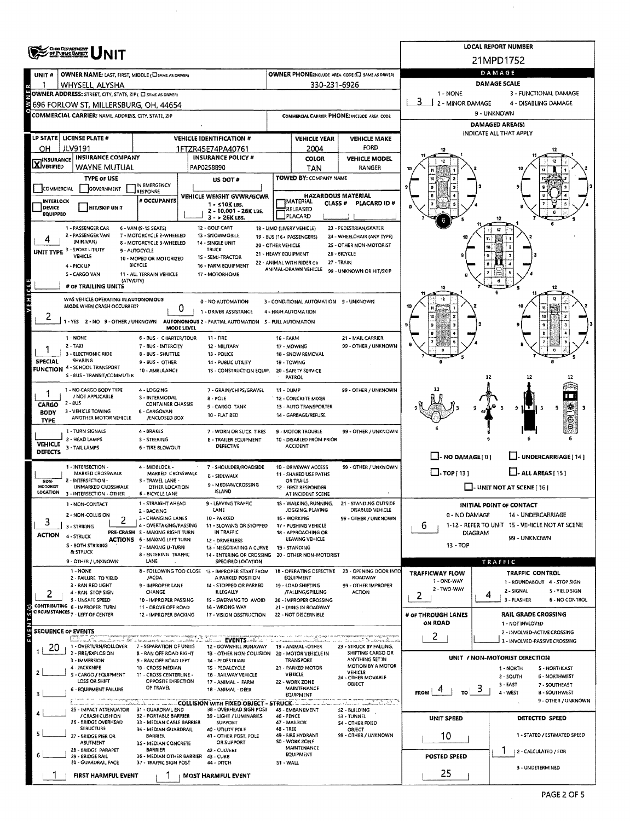|                                                                                                  |                                                                                                    |                                                           | <b>LOCAL REPORT NUMBER</b><br>21MPD1752                                       |                                                   |                                                               |                                                            |                                       |                                                                |  |  |  |  |  |
|--------------------------------------------------------------------------------------------------|----------------------------------------------------------------------------------------------------|-----------------------------------------------------------|-------------------------------------------------------------------------------|---------------------------------------------------|---------------------------------------------------------------|------------------------------------------------------------|---------------------------------------|----------------------------------------------------------------|--|--|--|--|--|
|                                                                                                  | <b>OHIO DISPARTMENT</b><br>OF PUBLIC SAFETY                                                        |                                                           |                                                                               |                                                   |                                                               |                                                            |                                       |                                                                |  |  |  |  |  |
|                                                                                                  |                                                                                                    |                                                           |                                                                               | OWNER PHONESINGLUDE AREA CODE (E) SAME AS DRIVER! | DAMAGE                                                        |                                                            |                                       |                                                                |  |  |  |  |  |
| UNIT #                                                                                           | OWNER NAME: LAST, FIRST, MIDDLE (CI SAME AS DRIVER)<br>WHYSELL, ALYSHA                             |                                                           |                                                                               |                                                   | 330-231-6926                                                  |                                                            | <b>DAMAGE SCALE</b>                   |                                                                |  |  |  |  |  |
| OWNER ADDRESS: STREET, CITY, STATE, ZIP ( E SAME AS DRIVER)<br>1 - NONE<br>3 - FUNCTIONAL DAMAGE |                                                                                                    |                                                           |                                                                               |                                                   |                                                               |                                                            |                                       |                                                                |  |  |  |  |  |
| 3<br>2 - MINOR DAMAGE<br>4 - DISABLING DAMAGE<br>3 696 FORLOW ST, MILLERSBURG, OH, 44654         |                                                                                                    |                                                           |                                                                               |                                                   |                                                               |                                                            |                                       |                                                                |  |  |  |  |  |
|                                                                                                  | <b>COMMERCIAL CARRIER: NAME, ADDRESS, CITY, STATE, ZIP</b>                                         |                                                           |                                                                               | COMMERCIAL CARRIER PHONE: INCLUDE AREA CODE       |                                                               |                                                            | 9 - UNKNOWN                           |                                                                |  |  |  |  |  |
|                                                                                                  |                                                                                                    |                                                           |                                                                               |                                                   |                                                               |                                                            |                                       | <b>DAMAGED AREA(S)</b><br>INDICATE ALL THAT APPLY              |  |  |  |  |  |
|                                                                                                  | LP STATE   LICENSE PLATE #                                                                         |                                                           | <b>VEHICLE IDENTIFICATION #</b>                                               |                                                   | <b>VEHICLE YEAR</b>                                           | <b>VEHICLE MAKE</b>                                        |                                       |                                                                |  |  |  |  |  |
| ОН                                                                                               | <b>JLV9191</b>                                                                                     |                                                           | 1FTZR45E74PA40761<br><b>INSURANCE POLICY #</b>                                |                                                   | 2004                                                          | FORD                                                       |                                       |                                                                |  |  |  |  |  |
| <b>X</b> INSURANCE                                                                               | <b>INSURANCE COMPANY</b><br>WAYNE MUTUAL                                                           |                                                           | PAP0258890                                                                    |                                                   | <b>COLOR</b><br>TAN                                           | <b>VEHICLE MODEL</b><br>RANGER                             |                                       |                                                                |  |  |  |  |  |
|                                                                                                  | <b>TYPE OF USE</b>                                                                                 |                                                           | US DOT#                                                                       |                                                   | TOWED BY: COMPANY NAME                                        |                                                            |                                       |                                                                |  |  |  |  |  |
| COMMERCIAL                                                                                       | GOVERNMENT                                                                                         | IN EMERGENCY<br>RESPONSE                                  |                                                                               |                                                   |                                                               |                                                            |                                       |                                                                |  |  |  |  |  |
| <b>INTERLOCK</b>                                                                                 |                                                                                                    | # OCCUPANTS                                               | VEHICLE WEIGHT GVWR/GCWR<br>1 - ≤10K LBS.                                     |                                                   | <b>HAZARDOUS MATERIAL</b><br><b>IMATERIAL</b><br>CLASS #      | PLACARD ID#                                                |                                       |                                                                |  |  |  |  |  |
| DEVICE<br><b>EQUIPPEO</b>                                                                        | <b>HIT/SKIP UNIT</b>                                                                               |                                                           | 2 - 10.001 - 26K LBS.                                                         |                                                   | RELEASED<br>PLACARD                                           |                                                            |                                       |                                                                |  |  |  |  |  |
|                                                                                                  | 1 - PASSENGER CAR                                                                                  | 6 - VAN (9-1S SEATS)                                      | $3 - 26K$ LBS.<br>12 - GOLF CART                                              |                                                   | 18 - LIMO (LIVERY VEHICLE)                                    | 23 - PEDESTRIAN/SKATER                                     |                                       |                                                                |  |  |  |  |  |
|                                                                                                  | 2 - PASSENGER VAN                                                                                  | 7 - MOTORCYCLE 2-WHEELED                                  | 13 - SNOWMOBILE                                                               |                                                   | 19 - BUS (16+ PASSENGERS)                                     | 24 - WHEELCHAIR (ANY TYPE)                                 |                                       |                                                                |  |  |  |  |  |
|                                                                                                  | (MINIVAN)<br>UNIT TYPE 3 - SPORT UTILITY                                                           | 8 - MOTORCYCLE 3-WHEELED<br>9 - AUTOCYCLE                 | 14 - SINGLE UNIT<br>TRUCK                                                     | 20 - OTHER VEHICLE                                |                                                               | 25 - OTHER NON-MOTORIST                                    |                                       |                                                                |  |  |  |  |  |
|                                                                                                  | <b>VEHICLE</b>                                                                                     | 10 - MOPED OR MOTORIZED                                   | 1S - SEMI-TRACTOR                                                             | 21 - HEAVY EQUIPMENT                              | 22 - ANIMAL WITH RIDER OR                                     | 26 - BICYCLE<br>27 - TRAIN                                 |                                       |                                                                |  |  |  |  |  |
|                                                                                                  | 4 - PICK UP<br>5 - CARGO VAN                                                                       | <b>BICYCLE</b><br>11 - ALL TERRAIN VEHICLE                | 16 - FARM EQUIPMENT<br>17 - MOTORHOME                                         |                                                   | ANIMAL-DRAWN VEHICLE                                          | 99 - UNKNOWN OR HIT/SKIP                                   |                                       |                                                                |  |  |  |  |  |
|                                                                                                  | (ΑΤΥΛΙΤΥ)<br># OF TRAILING UNITS                                                                   |                                                           |                                                                               |                                                   |                                                               |                                                            |                                       | 12                                                             |  |  |  |  |  |
| VEHICLE                                                                                          | WAS VEHICLE OPERATING IN AUTONOMOUS                                                                |                                                           |                                                                               |                                                   |                                                               |                                                            |                                       |                                                                |  |  |  |  |  |
|                                                                                                  | MODE WHEN CRASH OCCURRED?                                                                          | 0                                                         | 0 - NO AUTOMATION<br>1 - DRIVER ASSISTANCE                                    |                                                   | 3 - CONDITIONAL AUTOMATION 9 - UNKNOWN<br>4 - HIGH AUTOMATION |                                                            |                                       |                                                                |  |  |  |  |  |
|                                                                                                  | -YES 2-NO 9-OTHER/UNKNOWN                                                                          |                                                           | AUTONOMOUS 2 - PARTIAL AUTOMATION 5 - FULL AUTOMATION                         |                                                   |                                                               |                                                            |                                       |                                                                |  |  |  |  |  |
|                                                                                                  |                                                                                                    | MODE LEVEL                                                |                                                                               |                                                   |                                                               |                                                            |                                       |                                                                |  |  |  |  |  |
|                                                                                                  | 1 - NONE<br>$2 - TAXi$                                                                             | 6 - BUS - CHARTER/TOUR<br>7 BUS INTERCITY                 | 11 - FIRE<br>12 - MILITARY                                                    | <b>16 - FARM</b>                                  | 17 - MOWING                                                   | 21 - MAIL CARRIER<br>99 - OTHER / UNKNOWN                  |                                       |                                                                |  |  |  |  |  |
|                                                                                                  | 3 - ELECTRONIC RIDE                                                                                | 8 - BUS - SHUTTLE                                         | 13 - POLICE                                                                   |                                                   | 18 - SNOW REMOVAL                                             |                                                            |                                       |                                                                |  |  |  |  |  |
| <b>SPECIAL</b>                                                                                   | SHARING<br><b>FUNCTION 4 - SCHOOL TRANSPORT</b>                                                    | 9 - BUS - OTHER                                           | 14 - PUBLIC UTILITY                                                           |                                                   | 19 - TOWING                                                   |                                                            |                                       |                                                                |  |  |  |  |  |
|                                                                                                  | S - BUS - TRANSIT/COMMUTER                                                                         | 10 - AMBULANCE                                            | 1S - CONSTRUCTION EQUIP.                                                      |                                                   | 20 - SAFETY SERVICE<br>PATROL                                 |                                                            |                                       |                                                                |  |  |  |  |  |
|                                                                                                  | 1 - NO CARGO BODY TYPE                                                                             | 4 - LOGGING                                               | 7 - GRAIN/CHIPS/GRAVEL                                                        | $11 - DUMP$                                       |                                                               | 99 - OTHER / UNKNOWN                                       |                                       |                                                                |  |  |  |  |  |
| CARGO                                                                                            | / NOT APPLICABLE<br>2 - BUS                                                                        | S - INTERMODAL<br><b>CONTAINER CHASSIS</b>                | 8 - POLE                                                                      |                                                   | <b>12 - CONCRETE MIXER</b>                                    |                                                            |                                       |                                                                |  |  |  |  |  |
| <b>BODY</b>                                                                                      | 3 - VEHICLE TOWING                                                                                 | 6 - CARGOVAN                                              | 9 - CARGO TANK<br>10 - FLAT BED                                               |                                                   | 13 AUTO TRANSPORTER<br>14 - GARBAGE/REFUSE                    |                                                            |                                       | зņ,<br>9<br>9<br>F.                                            |  |  |  |  |  |
| <b>TYPE</b>                                                                                      | ANOTHER MOTOR VEHICLE                                                                              | /ENCLOSED BOX                                             |                                                                               |                                                   |                                                               |                                                            |                                       | ٨<br>$\odot$                                                   |  |  |  |  |  |
|                                                                                                  | 1 - TURN SIGNALS<br>2 - HEAD LAMPS                                                                 | 4 - BRAKES<br>S - STEERING                                | 7 - WORN OR SLICK TIRES<br><b>8 - TRAILER EQUIPMENT</b>                       |                                                   | <b>9 - MOTOR TROUBLE</b><br>10 - DISABLED FROM PRIOR          | 99 - OTHER / UNKNOWN                                       |                                       |                                                                |  |  |  |  |  |
| <b>VEHICLE</b><br><b>DEFECTS</b>                                                                 | 3 - TAIL LAMPS                                                                                     | <b>6 - TIRE BLOWOUT</b>                                   | <b>DEFECTIVE</b>                                                              |                                                   | <b>ACCIDENT</b>                                               |                                                            |                                       |                                                                |  |  |  |  |  |
|                                                                                                  |                                                                                                    |                                                           |                                                                               |                                                   |                                                               |                                                            | $\Box$ - NO DAMAGE $[0]$              | J- UNDERCARRIAGE [ 14 ]                                        |  |  |  |  |  |
|                                                                                                  | 1 - INTERSECTION -<br><b>MARKED CROSSWALK</b>                                                      | 4 - MIDBLOCK -<br>MARKED CROSSWALK                        | 7 - SHOULDER/ROADSIDE<br><b>8 - SIDEWALK</b>                                  |                                                   | 10 - DRIVEWAY ACCESS<br>11 - SHARED USE PATHS                 | 99 - OTHER / UNKNOWN                                       | $\square$ . TOP ( 13 )                | $L$ - ALL AREAS [15]                                           |  |  |  |  |  |
| NON-<br>MOTORIST                                                                                 | 2 - INTERSECTION -<br><b>UNMARKED CROSSWALK</b>                                                    | S - TRAVEL LANE -<br>OTHER LOCATION                       | 9 - MEDIAN/CROSSING                                                           |                                                   | OR TRAILS<br>12 - FIRST RESPONDER                             |                                                            |                                       | $\Box$ - UNIT NOT AT SCENE [16]                                |  |  |  |  |  |
| LOCATION                                                                                         | 3 - INTERSECTION - OTHER                                                                           | 6 - BICYCLE LANE                                          | <b>ISLAND</b>                                                                 |                                                   | AT INCIDENT SCENE                                             |                                                            |                                       |                                                                |  |  |  |  |  |
|                                                                                                  | 1 - NON-CONTACT                                                                                    | 1 - STRAIGHT AHEAD<br>2 - BACKING                         | 9 - LEAVING TRAFFIC<br>LANE                                                   |                                                   | 15 - WALKING, RUNNING,<br>JOGGING, PLAYING                    | 21 - STANDING OUTSIDE<br>DISABLED VEHICLE                  |                                       | INITIAL POINT OF CONTACT                                       |  |  |  |  |  |
| 3                                                                                                | 2 - NON-COLLISION<br>2                                                                             | 3 - CHANGING LANES                                        | 10 - PARKED                                                                   |                                                   | 16 - WORKING                                                  | 99 - OTHER / UNKNOWN                                       | 0 - NO DAMAGE                         | 14 - UNDERCARRIAGE                                             |  |  |  |  |  |
| <b>ACTION</b>                                                                                    | 3 - STRIKING                                                                                       | 4 - OVERTAKING/PASSING<br>PRE-CRASH 5 - MAKING RIGHT TURN | 11 - SLOWING OR STOPPED<br>IN TRAFFIC                                         |                                                   | 17 - PUSHING VEHICLE<br>18 - APPROACHING OR                   |                                                            | b<br><b>DIAGRAM</b>                   | 1-12 - REFER TO UNIT 15 - VEHICLE NOT AT SCENE                 |  |  |  |  |  |
|                                                                                                  | 4 - STRUCK<br>S - BOTH STRIKING                                                                    | <b>ACTIONS 6 - MAKING LEFT TURN</b>                       | 12 - DRIVERLESS                                                               |                                                   | LEAVING VEHICLE                                               |                                                            | 13 - TOP                              | 99 - UNKNOWN                                                   |  |  |  |  |  |
|                                                                                                  | & STRUCK                                                                                           | 7 - MAKING U-TURN<br><b>8 - ENTERING TRAFFIC</b>          | 13 - NEGOTIATING A CURVE<br>14 - ENTERING OR CROSSING 20 - OTHER NON-MOTORIST |                                                   | 19 - STANDING                                                 |                                                            |                                       |                                                                |  |  |  |  |  |
|                                                                                                  | 9 - OTHER / UNKNOWN                                                                                | LANE                                                      | SPECIFIED LOCATION                                                            |                                                   |                                                               |                                                            |                                       | TRAFFIC                                                        |  |  |  |  |  |
|                                                                                                  | 1 - NONE<br>2 - FAILURE TO YIELD                                                                   | /ACDA                                                     | 8 - FOLLOWING TOO CLOSE 13 - IMPROPER START FROM<br>A PARKED POSITION         |                                                   | <b>EQUIPMENT</b>                                              | 18 - OPERATING DEFECTIVE 23 - OPENING DOOR INTO<br>ROADWAY | <b>TRAFFICWAY FLOW</b><br>1 - ONE-WAY | TRAFFIC CONTROL                                                |  |  |  |  |  |
|                                                                                                  | 3 - RAN RED LIGHT<br>4 - RAN STOP SIGN                                                             | 9 - IMPROPER LANE<br>CHANGE                               | 14 - STOPPED OR PARKED<br><b>ILLEGALLY</b>                                    |                                                   | 19 - LOAD SHIFTING<br>/FALLING/SPILLING                       | 99 - OTHER IMPROPER<br><b>ACTION</b>                       | 2 - TWO-WAY                           | 1 - ROUNDABOUT 4 - STOP SIGN<br>2 - SIGNAL<br>5 - YIELD SIGN   |  |  |  |  |  |
| 2                                                                                                | 5 - UNSAFE SPEED                                                                                   | 10 - IMPROPER PASSING                                     | 15 - SWERVING TO AVOID                                                        |                                                   | 20 - IMPROPER CROSSING                                        |                                                            | 2                                     | 4<br>3 - FLASHER<br><b>6 - NO CONTROL</b>                      |  |  |  |  |  |
|                                                                                                  | CONTRIBUTING 6 - IMPROPER TURN<br>CIRCUMSTANCES <sub>7</sub> - LEFT OF CENTER                      | 11 - DROVE OFF ROAD<br>12 - IMPROPER BACKING              | 16 - WRONG WAY<br>17 - VISION OBSTRUCTION                                     |                                                   | 21 - LYING IN ROADWAY<br>22 - NOT DISCERNIBLE                 |                                                            | # or THROUGH LANES                    | RAIL GRADE CROSSING                                            |  |  |  |  |  |
|                                                                                                  |                                                                                                    |                                                           |                                                                               |                                                   |                                                               |                                                            | ON ROAD                               | 1 - NOT INVLOVED                                               |  |  |  |  |  |
| <b>SEQUENCE OF EVENTS</b>                                                                        | 1.2. <u>. 8</u>                                                                                    |                                                           | EVENTS                                                                        |                                                   |                                                               | Lincoln Nickelskale                                        | 2                                     | 2 - INVOLVED-ACTIVE CROSSING                                   |  |  |  |  |  |
| 20                                                                                               | 1 - OVERTURN/ROLLOVER                                                                              | 7 - SEPARATION OF UNITS                                   | 12 - DOWNHILL RUNAWAY                                                         |                                                   | 19 - ANIMAL - OTHER                                           | 23 - STRUCK BY FALLING,                                    |                                       | 3 - INVOLVED-PASSIVE CROSSING                                  |  |  |  |  |  |
|                                                                                                  | 2 - FIRE/EXPLOSION<br>3 - IMMERSION                                                                | 8 - RAN OFF ROAD RIGHT<br>9 - RAN OFF ROAD LEFT           | 13 - OTHER NON-COLLISION<br>14 - PEDESTRIAN                                   |                                                   | 20 - MOTOR VEHICLE IN<br><b>TRANSPORT</b>                     | SHIFTING CARGO OR<br>ANYTHING SET IN                       |                                       | UNIT / NON-MOTORIST DIRECTION                                  |  |  |  |  |  |
|                                                                                                  | 4 - JACKKNIFE<br>S - CARGO / EQUIPMENT                                                             | 10 - CROSS MEDIAN<br>11 - CROSS CENTERLINE -              | 15 - PEDALCYCLE<br>16 - RAILWAY VEHICLE                                       |                                                   | 21 - PARKED MOTOR<br><b>VEHICLE</b>                           | MOTION BY A MOTOR<br><b>VEHICLE</b>                        |                                       | 1 - NORTH<br>S - NORTHEAST                                     |  |  |  |  |  |
|                                                                                                  | LOSS OR SHIFT                                                                                      | OPPOSITE DIRECTION                                        | 17 - ANIMAL - FARM                                                            |                                                   | 22 - WORK ZONE                                                | 24 - OTHER MOVABLE<br>OBJECT                               |                                       | 2 - SOUTH<br><b>6 - NORTHWEST</b><br>3 - EAST<br>7 - SOUTHEAST |  |  |  |  |  |
|                                                                                                  | <b>6 - EQUIPMENT FAILURE</b>                                                                       | OF TRAVEL                                                 | 18 - ANIMAL - DEER                                                            |                                                   | MAINTENANCE<br>EQUIPMENT                                      |                                                            | <b>FROM</b>                           | ್ರ<br>4 - WEST<br><b>B-SOUTHWEST</b>                           |  |  |  |  |  |
|                                                                                                  | 25 - IMPACT ATTENUATOR                                                                             | 31 - GUARDRAIL END                                        | 38 - OVERHEAD SIGN POST                                                       |                                                   | 45 - EMBANKMENT                                               | in titulus, cinematika titului<br>52 - BUILDING            |                                       | 9 - OTHER / UNKNOWN                                            |  |  |  |  |  |
|                                                                                                  | / CRASH CUSHION                                                                                    | 32 - PORTABLE BARRIER                                     | 39 - LIGHT / LUMINARIES                                                       | 46 - FENCE                                        |                                                               | 53 - TUNNEL                                                | UNIT SPEED                            | <b>DETECTED SPEED</b>                                          |  |  |  |  |  |
|                                                                                                  | 26 - BRIDGE OVERHEAD<br><b>STRUCTURE</b>                                                           | 33 - MEDIAN CABLE BARRIER<br>34 - MEDIAN GUARDRAIL        | <b>SUPPORT</b><br>40 - UTILITY POLE                                           | <b>48 - TREE</b>                                  | 47 - MAILBOX                                                  | <b>54 - OTHER FIXED</b><br>OBJECT                          |                                       |                                                                |  |  |  |  |  |
|                                                                                                  | 27 - BRIDGE PIER OR<br>ABUTMENT                                                                    | <b>BARRIER</b><br>35 - MEDIAN CONCRETE                    | 41 - OTHER POST, POLE<br><b>OR SUPPORT</b>                                    |                                                   | 49 - FIRE HYDRANT<br><b>SO - WORK ZONE</b>                    | 99 - OTHER / UNKNOWN                                       | 10                                    | 1 - STATED / ESTIMATED SPEED                                   |  |  |  |  |  |
|                                                                                                  | 28 - BRIDGE PARAPET<br>29 - BRIDGE RAIL                                                            | <b>BARRIER</b>                                            | 42 - CULVERT                                                                  |                                                   | <b>MAINTENANCE</b><br><b>EQUIPMENT</b>                        |                                                            | POSTED SPEED                          | 2 - CALCULATED / EDR                                           |  |  |  |  |  |
|                                                                                                  | 36 - MEDIAN OTHER BARRIER 43 - CURB<br>30 - GUARDRAIL FACE<br>37 - TRAFFIC SIGN POST<br>44 - DITCH |                                                           |                                                                               |                                                   |                                                               | 51 - WALL                                                  |                                       |                                                                |  |  |  |  |  |
|                                                                                                  | FIRST HARMFUL EVENT                                                                                |                                                           | <b>MOST HARMFUL EVENT</b>                                                     |                                                   |                                                               |                                                            | 25                                    | 3 - UNDETERMINED                                               |  |  |  |  |  |

 $\bar{z}$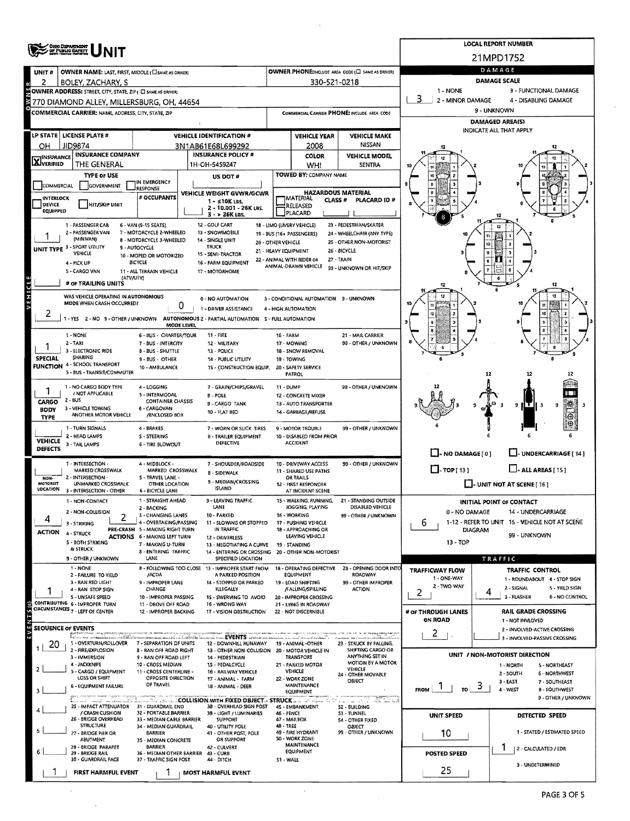|                                   | <b>OHIO DISPARTMENT</b><br>OF PUBLIC SAFETY                                      |                                                               | <b>LOCAL REPORT NUMBER</b>                                                                                        |                                                          |                                                         |                                                                  |                                |                                                                      |  |  |  |  |  |
|-----------------------------------|----------------------------------------------------------------------------------|---------------------------------------------------------------|-------------------------------------------------------------------------------------------------------------------|----------------------------------------------------------|---------------------------------------------------------|------------------------------------------------------------------|--------------------------------|----------------------------------------------------------------------|--|--|--|--|--|
|                                   |                                                                                  |                                                               | 21MPD1752                                                                                                         |                                                          |                                                         |                                                                  |                                |                                                                      |  |  |  |  |  |
| UNIT#                             | OWNER NAME: LAST, FIRST, MIDDLE (C) SAME AS ORIVER)                              |                                                               | OWNER PHONE: INCLUDE AREA CODE (E SAME AS DRIVER)                                                                 | DAMAGE                                                   |                                                         |                                                                  |                                |                                                                      |  |  |  |  |  |
| 2                                 | BOLEY, ZACHARY, S<br>OWNER ADDRESS: STREET, CITY, STATE, ZIP ( E SAME AS DRIVER) |                                                               | 330-521-0218                                                                                                      | <b>DAMAGE SCALE</b><br>1 - NONE<br>3 - FUNCTIONAL DAMAGE |                                                         |                                                                  |                                |                                                                      |  |  |  |  |  |
|                                   | 770 DIAMOND ALLEY, MILLERSBURG, OH, 44654                                        | 2 - MINOR DAMAGE<br>4 - DISABLING DAMAGE                      |                                                                                                                   |                                                          |                                                         |                                                                  |                                |                                                                      |  |  |  |  |  |
|                                   | <b>COMMERCIAL CARRIER: NAME, ADDRESS, CITY, STATE, ZIP</b>                       |                                                               |                                                                                                                   | COMMERCIAL CARRIER PHONE: INCLUDE AREA CODE              | 9 - UNKNOWN                                             |                                                                  |                                |                                                                      |  |  |  |  |  |
|                                   |                                                                                  |                                                               |                                                                                                                   |                                                          |                                                         |                                                                  | <b>DAMAGED AREA(S)</b>         |                                                                      |  |  |  |  |  |
|                                   | LP STATE   LICENSE PLATE #                                                       |                                                               | <b>VEHICLE IDENTIFICATION #</b>                                                                                   |                                                          | <b>VEHICLE YEAR</b>                                     | <b>VEHICLE MAKE</b>                                              |                                | INDICATE ALL THAT APPLY                                              |  |  |  |  |  |
| ОН                                | JID9874                                                                          |                                                               | 3N1AB61E68L699292                                                                                                 |                                                          | 2008                                                    | <b>NISSAN</b>                                                    |                                |                                                                      |  |  |  |  |  |
| <b>X</b> <sup>INSURANCE</sup>     | <b>INSURANCE COMPANY</b><br>THE GENERAL                                          |                                                               | <b>INSURANCE POLICY #</b><br>1H-OH-5459247                                                                        |                                                          | COLOR<br>WHI                                            | <b>VEHICLE MODEL</b><br><b>SENTRA</b>                            |                                |                                                                      |  |  |  |  |  |
|                                   | <b>TYPE OF USE</b>                                                               |                                                               | US DOT #                                                                                                          |                                                          | TOWED BY: COMPANY NAME                                  |                                                                  |                                |                                                                      |  |  |  |  |  |
| COMMERCIAL                        | <b>GOVERNMENT</b>                                                                | IN EMERGENCY<br><b>RESPONSE</b>                               |                                                                                                                   |                                                          |                                                         |                                                                  |                                |                                                                      |  |  |  |  |  |
| <b>INTERLOCK</b><br><b>DEVICE</b> | HIT/SKIP UNIT                                                                    | # OCCUPANTS                                                   | VEHICLE WEIGHT GVWR/GCWR<br>$1 - 10K$ LBS.                                                                        |                                                          | <b>HAZARDOUS MATERIAL</b><br> MATERIAL<br><b>CLASS#</b> | PLACARD ID #                                                     |                                |                                                                      |  |  |  |  |  |
| EQUIPPED                          |                                                                                  |                                                               | 2 - 10.001 - 26K LBS.<br>$3 - 26K$ LBS,                                                                           | RELEASED<br>PLACARD                                      |                                                         |                                                                  |                                |                                                                      |  |  |  |  |  |
|                                   | 1 - PASSENGER CAR                                                                | 6 - VAN (9-15 SEATS)                                          | 12 - GOLF CART                                                                                                    |                                                          | 18 - LIMO (LIVERY VEHICLE)                              | 23 - PEDESTRIAN/SKATER                                           |                                |                                                                      |  |  |  |  |  |
|                                   | 2 - PASSENGER VAN<br>(MINIVAN)                                                   | 7 - MOTORCYCLE 2-WHEELED<br>8 - MOTORCYCLE 3-WHEELED          | 13 - SNOWMOBILE<br>14 - SINGLE UNIT<br>20 - OTHER VEHICLE                                                         |                                                          | 19 - BUS (16+ PASSENGERS)                               | 24 - WHEELCHAIR (ANY TYPE)<br>2S - OTHER NON-MOTORIST            |                                |                                                                      |  |  |  |  |  |
|                                   | UNIT TYPE 3 - SPORT UTILITY<br>VEHICLE                                           | 9 - AUTOCYCLE<br>10 - MOPED OR MOTORIZED                      | TRUCK<br>21 - HEAVY EQUIPMENT<br>15 - SEMI-TRACTOR                                                                |                                                          |                                                         | 26 - BICYCLE                                                     |                                |                                                                      |  |  |  |  |  |
|                                   | 4 - PICK UP                                                                      | <b>BICYCLE</b>                                                | 16 - FARM EQUIPMENT                                                                                               |                                                          | 22 - ANIMAL WITH RIDER OR<br>ANIMAL-DRAWN VEHICLE       | 27 - TRAIN<br>99 - UNKNOWN OR HIT/SKIP                           |                                |                                                                      |  |  |  |  |  |
|                                   | 5 - CARGO VAN<br>(ATVAJTV)                                                       | 11 - ALL TERRAIN VEHICLE                                      | 17 - MOTORHOME                                                                                                    |                                                          |                                                         |                                                                  |                                |                                                                      |  |  |  |  |  |
|                                   | # or TRAILING UNITS                                                              |                                                               |                                                                                                                   |                                                          |                                                         |                                                                  |                                |                                                                      |  |  |  |  |  |
| <b>ASHICLE</b>                    | WAS VEHICLE OPERATING IN AUTONOMOUS<br>MODE WHEN CRASH OCCURRED?                 | 0                                                             | 0 - NO AUTOMATION                                                                                                 |                                                          | 3 - CONDITIONAL AUTOMATION 9 - UNKNOWN                  |                                                                  |                                |                                                                      |  |  |  |  |  |
| ۷                                 |                                                                                  |                                                               | 1 - DRIVER ASSISTANCE<br>1 - YES 2 - NO 9 - OTHER / UNKNOWN AUTONOMOUS 2 - PARTIAL AUTOMATION S - FULL AUTOMATION |                                                          | 4 - HIGH AUTOMATION                                     |                                                                  |                                |                                                                      |  |  |  |  |  |
|                                   |                                                                                  | <b>MODE LEVEL</b>                                             |                                                                                                                   |                                                          |                                                         |                                                                  |                                |                                                                      |  |  |  |  |  |
|                                   | 1 - NONE<br>$2 - TAXI$                                                           | 6 - BUS - CHARTER/TOUR<br>7 - BUS - INTERCITY                 | <b>11 - FIRE</b><br>12 - MILITARY                                                                                 | 16 - FARM                                                | 17 - MOWING                                             | 21 - MAIL CARRIER<br>99 - OTHER / UNKNOWN                        |                                |                                                                      |  |  |  |  |  |
|                                   | 3 - ELECTRONIC RIDE                                                              | <b>B-BUS-SHUTTLE</b>                                          | 13 - POLICE                                                                                                       |                                                          | 18 - SNOW REMOVAL                                       |                                                                  |                                |                                                                      |  |  |  |  |  |
| <b>SPECIAL</b>                    | SHARING<br>FUNCTION 4 - SCHOOL TRANSPORT                                         | 9 - BUS - OTHER<br>10 - AMBULANCE                             | 14 - PUBLIC UTILITY<br>1S - CONSTRUCTION EQUIP.                                                                   | 19 - TOWING                                              | 20 - SAFETY SERVICE                                     |                                                                  |                                |                                                                      |  |  |  |  |  |
|                                   | 5 - BUS - TRANSIT/COMMUTER                                                       |                                                               |                                                                                                                   |                                                          | PATROL                                                  |                                                                  |                                | 12                                                                   |  |  |  |  |  |
|                                   | 1 - NO CARGO BODY TYPE<br>/ NOT APPLICABLE                                       | 4 - LOGGING                                                   | 7 - GRAIN/CHIPS/GRAVEL                                                                                            | 11 DUMP                                                  |                                                         | 99 - OTHER / UNKNOWN                                             |                                |                                                                      |  |  |  |  |  |
| CARGO                             | $2 - BUS$                                                                        | 5 - INTERMODAL<br><b>CONTAINER CHASSIS</b>                    | 8 - POLE<br>9 - CARGO TANK                                                                                        |                                                          | 12 - CONCRETE MIXER<br>13 - AUTO TRANSPORTER            |                                                                  |                                | $\mathbf{T}$                                                         |  |  |  |  |  |
| <b>BODY</b><br><b>TYPE</b>        | 3 - VEHICLE TOWING<br>ANOTHER MOTOR VEHICLE                                      | 6 - CARGOVAN<br>/ENCLOSED BOX                                 | 10 - FLAT BED                                                                                                     |                                                          | 14 - GARBAGE/REFUSE                                     |                                                                  |                                |                                                                      |  |  |  |  |  |
|                                   | 1 - TURN SIGNALS                                                                 | 4 - BRAKES                                                    | 7 - WORN OR SLICK TIRES                                                                                           |                                                          | 9 - MOTOR TROUBLE                                       | 99 OTHER / UNKNOWN                                               |                                |                                                                      |  |  |  |  |  |
| <b>VEHICLE</b>                    | 2 - HEAD LAMPS<br>3 - TAIL LAMPS                                                 | S - STEERING<br><b>6 - TIRE BLOWOUT</b>                       | <b>B - TRAILER EQUIPMENT</b><br>DEFECTIVE                                                                         |                                                          | 10 - DISABLED FROM PRIOR<br><b>ACCIDENT</b>             |                                                                  |                                |                                                                      |  |  |  |  |  |
| <b>DEFECTS</b>                    |                                                                                  |                                                               |                                                                                                                   |                                                          |                                                         |                                                                  | $\Box$ - NO DAMAGE [ 0 ]       | LI- UNDERCARRIAGE [ 14 ]                                             |  |  |  |  |  |
|                                   | 1 - INTERSECTION -<br>MARKED CROSSWALK                                           | 4 - MIDBLOCK -<br>MARKED CROSSWALK                            | 7 - SHOULDER/ROADSIDE                                                                                             |                                                          | 10 - DRNEWAY ACCESS<br>11 - SHARED USE PATHS            | 99 - OTHER / UNKNOWN                                             | $\Box$ -TOP[13]                | $\Box$ - ALL AREAS [ 15 ]                                            |  |  |  |  |  |
| NON-<br>MOTORIST                  | 2 - INTERSECTION -<br>UNMARKED CROSSWALK                                         | 5 - TRAVEL LANE -<br><b>OTHER LOCATION</b>                    | <b>B - SIDEWALK</b><br>9 - MEDIAN/CROSSING                                                                        |                                                          | OR TRAILS<br>12 - FIRST RESPONDER                       |                                                                  | L. UNIT NOT AT SCENE [ 16 ]    |                                                                      |  |  |  |  |  |
| LOCATION                          | 3 - INTERSECTION - OTHER                                                         | <b>6 - BICYCLE LANE</b>                                       | <b>ISLAND</b>                                                                                                     |                                                          | AT INCIDENT SCENE                                       |                                                                  |                                |                                                                      |  |  |  |  |  |
|                                   | 1 - NON-CONTACT                                                                  | 1 - STRAIGHT AHEAD<br>2 - BACKING                             | <b>9-IFAVING TRAFFIC</b><br>LANE                                                                                  |                                                          | JOGGING, PLAYING                                        | 15 - WALKING, RUNNING. 21 - STANDING OUTSIDE<br>DISABLED VEHICLE |                                | <b>INITIAL POINT OF CONTACT</b>                                      |  |  |  |  |  |
| 4                                 | 2 - NON-COLLISION<br>3 - STRIKING                                                | 3 - CHANGING LANES<br>4 - OVERTAKING/PASSING                  | 10 - PARKED<br>11 - SLOWING OR STOPPED                                                                            |                                                          | 16 - WORKING<br>17 - PUSHING VEHICLE                    | 99 - OTHER / UNKNOWN                                             | 0 - NO DAMAGE<br>6             | 14 - UNDERCARRIAGE<br>1-12 - REFER TO UNIT 15 - VEHICLE NOT AT SCENE |  |  |  |  |  |
| <b>ACTION</b>                     | 4 - STRUCK                                                                       | PRE CRASH 5 - MAKING RIGHT TURN                               | IN TRAFFIC                                                                                                        |                                                          | 18 - APPROACHING OR<br>LEAVING VEHICLE                  |                                                                  |                                | <b>DIAGRAM</b><br>99 - UNKNOWN                                       |  |  |  |  |  |
|                                   | 5 - BOTH STRIKING<br>& STRUCK                                                    | <b>ACTIONS 6 - MAKING LEFT TURN</b><br>7 - MAKING U-TURN      | 12 - DRIVERLESS<br><b>13 - NEGOTIATING A CURVE</b>                                                                |                                                          | 19 - STANDING                                           |                                                                  | 13 - TOP                       |                                                                      |  |  |  |  |  |
|                                   | 9 - OTHER / UNKNOWN                                                              | 8 - ENTERING TRAFFIC<br>LANE                                  | 14 - ENTERING OR CROSSING 20 - OTHER NON-MOTORIST<br>SPECIFIED LOCATION                                           |                                                          |                                                         |                                                                  |                                | TRAFFIC                                                              |  |  |  |  |  |
|                                   | 1 - NONE<br>2 - FAILURE TO YIELD                                                 |                                                               | 8 - FOLLOWING TOO CLOSE 13 - IMPROPER START FROM                                                                  |                                                          | 18 - OPERATING DEFECTIVE<br><b>EQUIPMENT</b>            | 23 - OPENING DOOR INTO<br><b>ROADWAY</b>                         | <b>TRAFFICWAY FLOW</b>         | <b>TRAFFIC CONTROL</b>                                               |  |  |  |  |  |
|                                   | 3 - RAN RED LIGHT                                                                | /ACDA<br>9 - IMPROPER LANE                                    | A PARKED POSITION<br>14 - STOPPED OR PARKED                                                                       |                                                          | 19 - LOAD SHIFTING                                      | 99 - OTHER IMPROPER                                              | 1 - ONE-WAY<br>2 - TWO-WAY     | 1 - ROUNDABOUT 4 - STOP SIGN                                         |  |  |  |  |  |
|                                   | 4 - RAN STOP SIGN<br>S - UNSAFE SPEED                                            | CHANGE<br>10 - IMPROPER PASSING                               | <b>ILLEGALLY</b><br>1S - SWERVING TO AVOID                                                                        |                                                          | /FALLING/SPILLING<br>20 - IMPROPER CROSSING             | <b>ACTION</b>                                                    | 2                              | 2 - SIGNAL<br>5 - YIELD SIGN<br>4<br>3 - FLASHER<br>6 - NO CONTROL   |  |  |  |  |  |
|                                   | CONTRIBUTING 6 - IMPROPER TURN<br>CIRCUMSTANCES 7 - LEFT OF CENTER               | 11 - DROVE OFF ROAD<br>12 - IMPROPER BACKING                  | 16 - WRONG WAY<br>17 - VISION OBSTRUCTION                                                                         |                                                          | 21 - LYING IN ROADWAY<br>22 - NOT DISCERNIBLE           |                                                                  | # OF THROUGH LANES             | <b>RAIL GRADE CROSSING</b>                                           |  |  |  |  |  |
| $E$ VENTS(s)                      |                                                                                  |                                                               |                                                                                                                   |                                                          |                                                         |                                                                  | <b>ON ROAD</b>                 | 1 - NOT INVLOVED                                                     |  |  |  |  |  |
|                                   | SEOUENCE OF EVENTS<br>kalinga ing                                                | t natura                                                      | <b>EVENTS</b>                                                                                                     |                                                          |                                                         |                                                                  | 2                              | 2 - INVOLVED-ACTIVE CROSSING<br>3 - INVOLVED-PASSIVE CROSSING        |  |  |  |  |  |
| 20                                | 1 - OVERTURN/ROLLOVER<br>2 - FIRE/EXPLOSION                                      | 7 - SEPARATION OF UNITS<br><b>B - RAN OFF ROAD RIGHT</b>      | 12 - DOWNHILL RUNAWAY<br>13 - OTHER NON-COLLISION                                                                 |                                                          | 19 - ANIMAL -OTHER<br>20 - MOTOR VEHICLE IN             | 23 - STRUCK BY FALLING,<br>SHIFTING CARGO OR                     |                                |                                                                      |  |  |  |  |  |
|                                   | 3 - IMMERSION                                                                    | 9 - RAN OFF ROAD LEFT                                         | 14 - PEDESTRIAN                                                                                                   |                                                          | <b>TRANSPORT</b>                                        | ANYTHING SET IN<br><b>MOTION BY A MOTOR</b>                      |                                | UNIT / NON-MOTORIST DIRECTION                                        |  |  |  |  |  |
| 2                                 | 4 - JACKKNIFE<br>5 - CARGO / EQUIPMENT                                           | 10 - CROSS MEDIAN<br>11 - CROSS CENTERLINE -                  | 15 - PEDALCYCLE<br>16 - RAILWAY VEHICLE                                                                           |                                                          | 21 - PARKED MOTOR<br>VEHICLE                            | VEHICLE<br>24 - OTHER MOVABLE                                    |                                | 5 - NORTHEAST<br>1 - NORTH<br>$2 - SOLTH$<br><b>6 - NORTHWEST</b>    |  |  |  |  |  |
|                                   | LOSS OR SHIFT<br>6 - EQUIPMENT FAILURE                                           | OPPOSITE DIRECTION<br>OF TRAVEL                               | 17 - ANIMAL - FARM<br>18 - ANIMAL - DEER                                                                          |                                                          | 22 - WORK ZONE<br><b>MAINTENANCE</b>                    | OBJECT                                                           | $\frac{3}{10}$<br>$\mathbf{I}$ | 3 - EAST<br>7 - SOUTHEAST                                            |  |  |  |  |  |
|                                   | n min mund museum min d                                                          |                                                               | <b>E. U.J. B. L. B. C. COLLISION.WITH FIXED OBJECT - STRUCK </b> 2014                                             |                                                          | EQUIPMENT                                               | <b>TATES</b>                                                     | <b>FROM</b>                    | 4 - WEST<br><b>B - SOUTHWEST</b><br>9 - OTHER / UNKNOWN              |  |  |  |  |  |
|                                   | 25 - IMPACT ATTENUATOR 31 - GUARDRAIL END<br>/ CRASH CUSHION                     | 32 - PORTABLE BARRIER                                         | 38 - OVERHEAD SIGN POST<br>39 - LIGHT / LUMINARIES                                                                | 46 - FENCE                                               | 45 - EMBANKMENT                                         | 52 - BUILDING<br>53 - TUNNEL                                     |                                |                                                                      |  |  |  |  |  |
|                                   | 26 - BRIDGE OVERHEAD<br><b>STRUCTURE</b>                                         | 33 - MEDIAN CABLE BARRIER<br>34 - MEDIAN GUARDRAIL            | <b>SUPPORT</b>                                                                                                    | 48 - TREE                                                | 47 - MAILBOX                                            | 54 - OTHER FIXED                                                 | <b>UNIT SPEED</b>              | DETECTED SPEED                                                       |  |  |  |  |  |
|                                   | 27 - BRIDGE PIER OR                                                              | BARRIER                                                       | 40 - UTILITY POLE<br>41 - OTHER POST, POLE                                                                        |                                                          | 49 - FIRE HYDRANT<br>50 - WORK ZONE                     | OBJECT<br>99 - OTHER / UNKNOWN                                   | 10                             | 1 - STATED / ESTIMATED SPEED                                         |  |  |  |  |  |
|                                   | ABUTMENT<br>28 - BRIDGE PARAPET                                                  | 35 - MEDIAN CONCRETE<br><b>BARRIER</b>                        | OR SUPPORT<br>42 - CULVERT                                                                                        |                                                          | <b>MAINTENANCE</b>                                      |                                                                  | 2 - CALCULATED / EDR           |                                                                      |  |  |  |  |  |
| 6                                 | 29 - BRIDGE RAIL<br>30 - GUARDRAIL FACE                                          | 36 - MEDIAN OTHER BARRIER 43 - CURB<br>37 - TRAFFIC SIGN POST | 44 - DITCH                                                                                                        | 51 - WALL                                                | <b>EQUIPMENT</b>                                        |                                                                  | <b>POSTED SPEED</b>            |                                                                      |  |  |  |  |  |
|                                   | <b>FIRST HARMFUL EVENT</b>                                                       |                                                               | <b>MOST HARMFUL EVENT</b>                                                                                         |                                                          |                                                         |                                                                  | 25                             | 3 - UNDETERMINED                                                     |  |  |  |  |  |

 $\hat{\mathcal{A}}$ 

 $\mathcal{L}_{\mathcal{L}}$ 

 $\bar{z}$